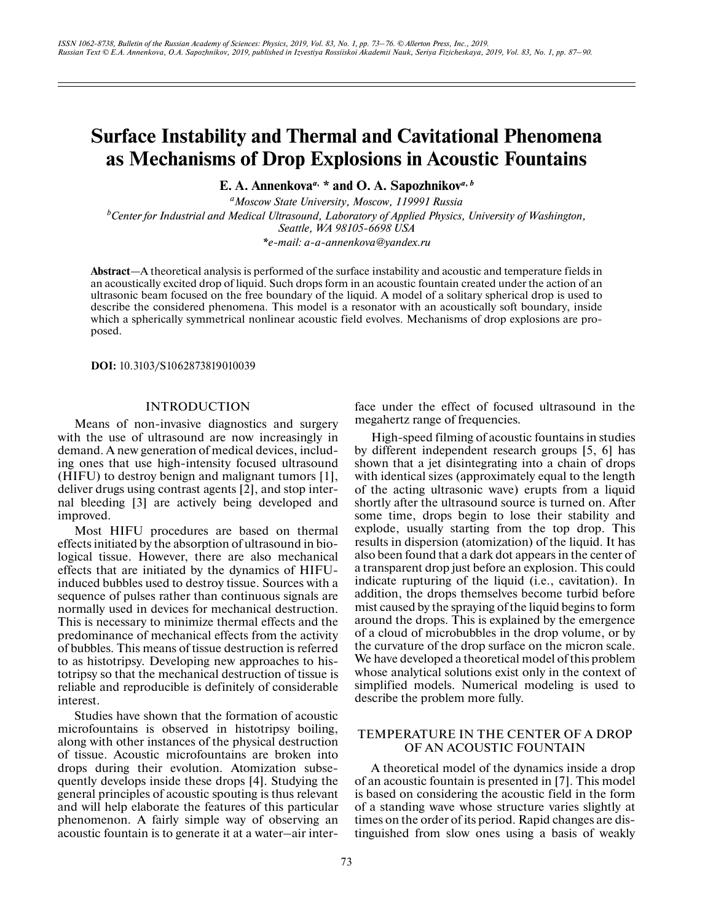# **Surface Instability and Thermal and Cavitational Phenomena as Mechanisms of Drop Explosions in Acoustic Fountains**

**E. A. Annenkova***a***, \* and O. A. Sapozhnikov***a***,** *<sup>b</sup>*

*aMoscow State University, Moscow, 119991 Russia b Center for Industrial and Medical Ultrasound, Laboratory of Applied Physics, University of Washington, Seattle, WA 98105-6698 USA*

*\*e-mail: a-a-annenkova@yandex.ru*

**Abstract**—A theoretical analysis is performed of the surface instability and acoustic and temperature fields in an acoustically excited drop of liquid. Such drops form in an acoustic fountain created under the action of an ultrasonic beam focused on the free boundary of the liquid. A model of a solitary spherical drop is used to describe the considered phenomena. This model is a resonator with an acoustically soft boundary, inside which a spherically symmetrical nonlinear acoustic field evolves. Mechanisms of drop explosions are proposed.

**DOI:** 10.3103/S1062873819010039

## **INTRODUCTION**

Means of non-invasive diagnostics and surgery with the use of ultrasound are now increasingly in demand. A new generation of medical devices, including ones that use high-intensity focused ultrasound (HIFU) to destroy benign and malignant tumors [1], deliver drugs using contrast agents [2], and stop internal bleeding [3] are actively being developed and improved.

Most HIFU procedures are based on thermal effects initiated by the absorption of ultrasound in biological tissue. However, there are also mechanical effects that are initiated by the dynamics of HIFUinduced bubbles used to destroy tissue. Sources with a sequence of pulses rather than continuous signals are normally used in devices for mechanical destruction. This is necessary to minimize thermal effects and the predominance of mechanical effects from the activity of bubbles. This means of tissue destruction is referred to as histotripsy. Developing new approaches to histotripsy so that the mechanical destruction of tissue is reliable and reproducible is definitely of considerable interest.

Studies have shown that the formation of acoustic microfountains is observed in histotripsy boiling, along with other instances of the physical destruction of tissue. Acoustic microfountains are broken into drops during their evolution. Atomization subsequently develops inside these drops [4]. Studying the general principles of acoustic spouting is thus relevant and will help elaborate the features of this particular phenomenon. A fairly simple way of observing an acoustic fountain is to generate it at a water–air interface under the effect of focused ultrasound in the megahertz range of frequencies.

High-speed filming of acoustic fountains in studies by different independent research groups [5, 6] has shown that a jet disintegrating into a chain of drops with identical sizes (approximately equal to the length of the acting ultrasonic wave) erupts from a liquid shortly after the ultrasound source is turned on. After some time, drops begin to lose their stability and explode, usually starting from the top drop. This results in dispersion (atomization) of the liquid. It has also been found that a dark dot appears in the center of a transparent drop just before an explosion. This could indicate rupturing of the liquid (i.e., cavitation). In addition, the drops themselves become turbid before mist caused by the spraying of the liquid begins to form around the drops. This is explained by the emergence of a cloud of microbubbles in the drop volume, or by the curvature of the drop surface on the micron scale. We have developed a theoretical model of this problem whose analytical solutions exist only in the context of simplified models. Numerical modeling is used to describe the problem more fully.

## TEMPERATURE IN THE CENTER OF A DROP OF AN ACOUSTIC FOUNTAIN

A theoretical model of the dynamics inside a drop of an acoustic fountain is presented in [7]. This model is based on considering the acoustic field in the form of a standing wave whose structure varies slightly at times on the order of its period. Rapid changes are distinguished from slow ones using a basis of weakly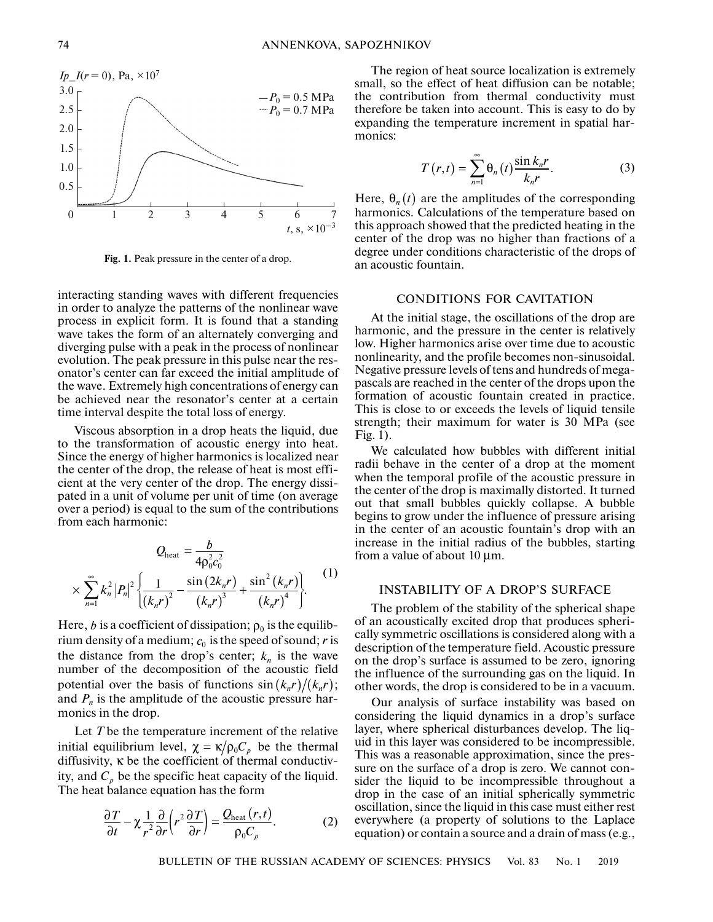

**Fig. 1.** Peak pressure in the center of a drop.

interacting standing waves with different frequencies in order to analyze the patterns of the nonlinear wave process in explicit form. It is found that a standing wave takes the form of an alternately converging and diverging pulse with a peak in the process of nonlinear evolution. The peak pressure in this pulse near the resonator's center can far exceed the initial amplitude of the wave. Extremely high concentrations of energy can be achieved near the resonator's center at a certain time interval despite the total loss of energy.

Viscous absorption in a drop heats the liquid, due to the transformation of acoustic energy into heat. Since the energy of higher harmonics is localized near the center of the drop, the release of heat is most efficient at the very center of the drop. The energy dissipated in a unit of volume per unit of time (on average over a period) is equal to the sum of the contributions from each harmonic:

$$
Q_{\text{heat}} = \frac{b}{4\rho_0^2 c_0^2}
$$
  
 
$$
\times \sum_{n=1}^{\infty} k_n^2 |P_n|^2 \left\{ \frac{1}{(k_n r)^2} - \frac{\sin(2k_n r)}{(k_n r)^3} + \frac{\sin^2(k_n r)}{(k_n r)^4} \right\}.
$$
 (1)

Here, *b* is a coefficient of dissipation;  $\rho_0$  is the equilibrium density of a medium;  $c_0$  is the speed of sound;  $r$  is the distance from the drop's center;  $k_n$  is the wave number of the decomposition of the acoustic field potential over the basis of functions  $\sin(k_n r)/(k_n r)$ ; and  $P_n$  is the amplitude of the acoustic pressure harmonics in the drop.

Let *T* be the temperature increment of the relative initial equilibrium level,  $\chi = \kappa/\rho_0 C_p$  be the thermal diffusivity, κ be the coefficient of thermal conductivity, and  $C_p$  be the specific heat capacity of the liquid. The heat balance equation has the form

$$
\frac{\partial T}{\partial t} - \chi \frac{1}{r^2} \frac{\partial}{\partial r} \left( r^2 \frac{\partial T}{\partial r} \right) = \frac{Q_{\text{heat}}(r, t)}{\rho_0 C_p}.
$$
 (2)

The region of heat source localization is extremely small, so the effect of heat diffusion can be notable; the contribution from thermal conductivity must therefore be taken into account. This is easy to do by expanding the temperature increment in spatial harmonics:

$$
T(r,t) = \sum_{n=1}^{\infty} \theta_n(t) \frac{\sin k_n r}{k_n r}.
$$
 (3)

Here,  $\theta_n(t)$  are the amplitudes of the corresponding harmonics. Calculations of the temperature based on this approach showed that the predicted heating in the center of the drop was no higher than fractions of a degree under conditions characteristic of the drops of an acoustic fountain.

#### CONDITIONS FOR CAVITATION

At the initial stage, the oscillations of the drop are harmonic, and the pressure in the center is relatively low. Higher harmonics arise over time due to acoustic nonlinearity, and the profile becomes non-sinusoidal. Negative pressure levels of tens and hundreds of megapascals are reached in the center of the drops upon the formation of acoustic fountain created in practice. This is close to or exceeds the levels of liquid tensile strength; their maximum for water is 30 MPa (see Fig. 1).

We calculated how bubbles with different initial radii behave in the center of a drop at the moment when the temporal profile of the acoustic pressure in the center of the drop is maximally distorted. It turned out that small bubbles quickly collapse. A bubble begins to grow under the influence of pressure arising in the center of an acoustic fountain's drop with an increase in the initial radius of the bubbles, starting from a value of about 10 μm.

## INSTABILITY OF A DROP'S SURFACE

The problem of the stability of the spherical shape of an acoustically excited drop that produces spherically symmetric oscillations is considered along with a description of the temperature field. Acoustic pressure on the drop's surface is assumed to be zero, ignoring the influence of the surrounding gas on the liquid. In other words, the drop is considered to be in a vacuum.

Our analysis of surface instability was based on considering the liquid dynamics in a drop's surface layer, where spherical disturbances develop. The liquid in this layer was considered to be incompressible. This was a reasonable approximation, since the pressure on the surface of a drop is zero. We cannot consider the liquid to be incompressible throughout a drop in the case of an initial spherically symmetric oscillation, since the liquid in this case must either rest everywhere (a property of solutions to the Laplace equation) or contain a source and a drain of mass (e.g.,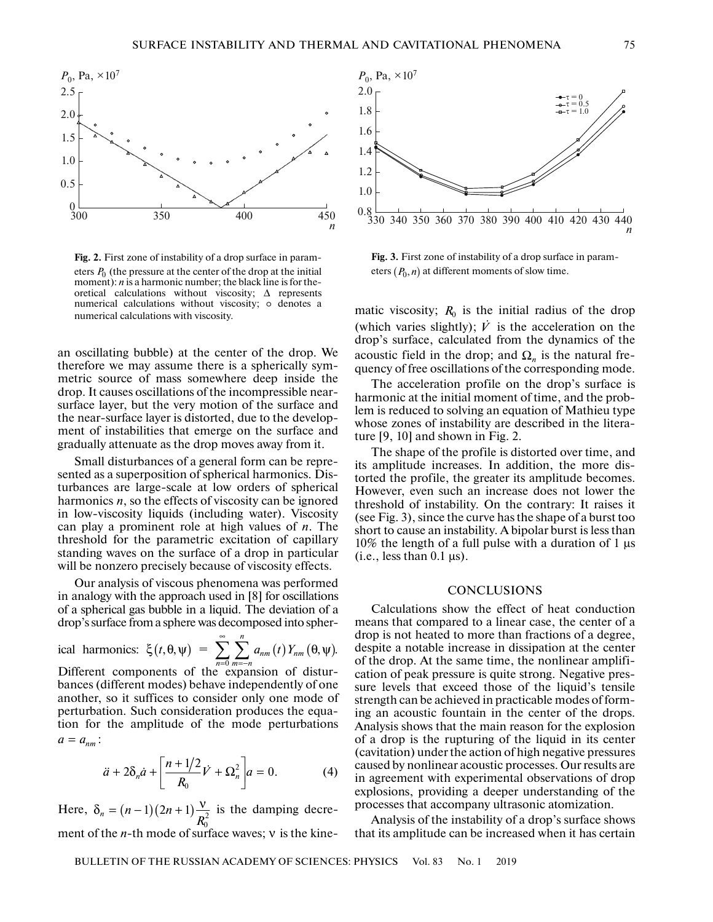

**Fig. 2.** First zone of instability of a drop surface in parameters  $P_0$  (the pressure at the center of the drop at the initial moment): *n* is a harmonic number; the black line is for theoretical calculations without viscosity;  $\Delta$  represents numerical calculations without viscosity; o denotes a numerical calculations with viscosity.

an oscillating bubble) at the center of the drop. We therefore we may assume there is a spherically symmetric source of mass somewhere deep inside the drop. It causes oscillations of the incompressible nearsurface layer, but the very motion of the surface and the near-surface layer is distorted, due to the development of instabilities that emerge on the surface and gradually attenuate as the drop moves away from it.

Small disturbances of a general form can be represented as a superposition of spherical harmonics. Disturbances are large-scale at low orders of spherical harmonics  $n$ , so the effects of viscosity can be ignored in low-viscosity liquids (including water). Viscosity can play a prominent role at high values of *n*. The threshold for the parametric excitation of capillary standing waves on the surface of a drop in particular will be nonzero precisely because of viscosity effects.

Our analysis of viscous phenomena was performed in analogy with the approach used in [8] for oscillations of a spherical gas bubble in a liquid. The deviation of a drop's surface from a sphere was decomposed into spher-

ical harmonics: 
$$
\xi(t, \theta, \psi) = \sum_{n=0}^{\infty} \sum_{m=-n}^{n} a_{nm}(t) Y_{nm}(\theta, \psi)
$$
.  
Different components of the expansion of distur-  
bances (different modes) behave independently of one

another, so it suffices to consider only one mode of<br>perturbation. Such consideration produces the cause another, so it surfless to consider only one mode of<br>perturbation. Such consideration produces the equa-<br>tion for the amplitude of the mode perturbations<br> $a = a_{nm}$ :<br> $a + 2\delta$ ,  $a + \left[\frac{n+1/2}{V} + O^2\right]_{a=0}$  (4) tion for the amplitude of the mode perturbations  $a = a_{nm}$ 1<br>|<br>|<br>|

$$
\ddot{a} + 2\delta_n \dot{a} + \left[ \frac{n + 1/2}{R_0} \dot{V} + \Omega_n^2 \right] a = 0.
$$
 (4)

Here,  $\delta_n = (n-1)(2n+1)\frac{v}{R_0^2}$  is the damping decrement of the *n*-th mode of surface waves; v is the kine $n = (n-1)(2n+1)$ *R*



**Fig. 3.** First zone of instability of a drop surface in parameters  $(P_0, n)$  at different moments of slow time.

matic viscosity;  $R_0$  is the initial radius of the drop (which varies slightly);  $\dot{V}$  is the acceleration on the drop's surface, calculated from the dynamics of the acoustic field in the drop; and  $\Omega_n$  is the natural frequency of free oscillations of the corresponding mode. vil<br>or<br>he<br>*V* 

The acceleration profile on the drop's surface is harmonic at the initial moment of time, and the problem is reduced to solving an equation of Mathieu type whose zones of instability are described in the literature [9, 10] and shown in Fig. 2.

The shape of the profile is distorted over time, and its amplitude increases. In addition, the more distorted the profile, the greater its amplitude becomes. However, even such an increase does not lower the threshold of instability. On the contrary: It raises it (see Fig. 3), since the curve has the shape of a burst too short to cause an instability. A bipolar burst is less than 10% the length of a full pulse with a duration of 1 μs (i.e., less than  $0.1 \,\mu s$ ).

## **CONCLUSIONS**

Calculations show the effect of heat conduction means that compared to a linear case, the center of a drop is not heated to more than fractions of a degree, despite a notable increase in dissipation at the center of the drop. At the same time, the nonlinear amplification of peak pressure is quite strong. Negative pressure levels that exceed those of the liquid's tensile strength can be achieved in practicable modes of forming an acoustic fountain in the center of the drops. Analysis shows that the main reason for the explosion of a drop is the rupturing of the liquid in its center (cavitation) under the action of high negative pressures caused by nonlinear acoustic processes. Our results are in agreement with experimental observations of drop explosions, providing a deeper understanding of the processes that accompany ultrasonic atomization.

Analysis of the instability of a drop's surface shows that its amplitude can be increased when it has certain